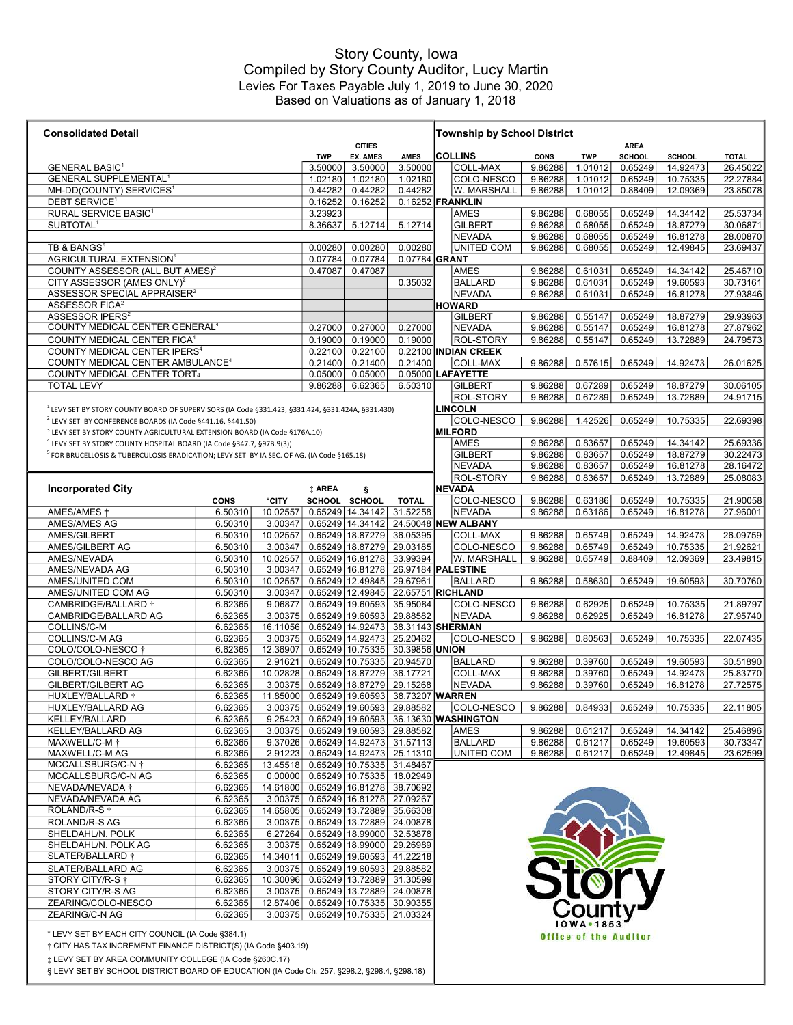## Based on Valuations as of January 1, 2018 Story County, Iowa Compiled by Story County Auditor, Lucy Martin Levies For Taxes Payable July 1, 2019 to June 30, 2020

| <b>Consolidated Detail</b>                                                                            |             |          |                    |                                  |                                                | <b>Township by School District</b> |                      |             |                              |                              |               |              |
|-------------------------------------------------------------------------------------------------------|-------------|----------|--------------------|----------------------------------|------------------------------------------------|------------------------------------|----------------------|-------------|------------------------------|------------------------------|---------------|--------------|
|                                                                                                       |             |          | <b>TWP</b>         | <b>CITIES</b><br><b>EX. AMES</b> | <b>AMES</b>                                    |                                    | <b>COLLINS</b>       | <b>CONS</b> | <b>TWP</b>                   | <b>AREA</b><br><b>SCHOOL</b> | <b>SCHOOL</b> | <b>TOTAL</b> |
| <b>GENERAL BASIC1</b>                                                                                 |             |          | 3.50000            | 3.50000                          | 3.50000                                        |                                    | COLL-MAX             | 9.86288     | 1.01012                      | 0.65249                      | 14.92473      | 26.45022     |
| <b>GENERAL SUPPLEMENTAL<sup>1</sup></b>                                                               |             |          |                    | 1.02180                          | 1.02180                                        |                                    | COLO-NESCO           | 9.86288     | 1.01012                      | 0.65249                      | 10.75335      | 22.27884     |
| MH-DD(COUNTY) SERVICES <sup>1</sup>                                                                   | 0.44282     | 0.44282  | 0.44282            |                                  | W. MARSHALL                                    | 9.86288                            | 1.01012              | 0.88409     | 12.09369                     | 23.85078                     |               |              |
| DEBT SERVICE <sup>1</sup>                                                                             | 0.16252     | 0.16252  |                    |                                  | 0.16252 FRANKLIN                               |                                    |                      |             |                              |                              |               |              |
| RURAL SERVICE BASIC <sup>1</sup>                                                                      |             |          |                    |                                  |                                                |                                    | AMES                 | 9.86288     | 0.68055                      | 0.65249                      | 14.34142      | 25.53734     |
| SUBTOTAL <sup>1</sup>                                                                                 |             |          | 3.23923<br>8.36637 | 5.12714                          | 5.12714                                        |                                    | <b>GILBERT</b>       | 9.86288     | 0.68055                      | 0.65249                      | 18.87279      | 30.06871     |
|                                                                                                       |             |          |                    |                                  |                                                |                                    | <b>NEVADA</b>        | 9.86288     | 0.68055                      | 0.65249                      | 16.81278      | 28.00870     |
| TB & BANGS <sup>5</sup>                                                                               |             |          | 0.00280            | 0.00280                          | 0.00280                                        |                                    | UNITED COM           | 9.86288     | 0.68055                      | 0.65249                      | 12.49845      | 23.69437     |
| AGRICULTURAL EXTENSION <sup>3</sup>                                                                   |             |          | 0.07784            | 0.07784                          | 0.07784 GRANT                                  |                                    |                      |             |                              |                              |               |              |
| COUNTY ASSESSOR (ALL BUT AMES) <sup>2</sup>                                                           |             |          | 0.47087            | 0.47087                          |                                                |                                    | <b>AMES</b>          | 9.86288     | 0.61031                      | 0.65249                      | 14.34142      | 25.46710     |
| CITY ASSESSOR (AMES ONLY) <sup>2</sup>                                                                |             |          |                    |                                  | 0.35032                                        |                                    | <b>BALLARD</b>       | 9.86288     | 0.61031                      | 0.65249                      | 19.60593      | 30.73161     |
| ASSESSOR SPECIAL APPRAISER <sup>2</sup>                                                               |             |          |                    |                                  |                                                |                                    | <b>NEVADA</b>        | 9.86288     | 0.61031                      | 0.65249                      | 16.81278      | 27.93846     |
| ASSESSOR FICA <sup>2</sup>                                                                            |             |          |                    |                                  |                                                |                                    | <b>HOWARD</b>        |             |                              |                              |               |              |
| ASSESSOR IPERS <sup>2</sup>                                                                           |             |          |                    |                                  |                                                |                                    | <b>GILBERT</b>       | 9.86288     | 0.55147                      | 0.65249                      | 18.87279      | 29.93963     |
| COUNTY MEDICAL CENTER GENERAL <sup>4</sup>                                                            |             |          | 0.27000            | 0.27000                          | 0.27000                                        |                                    | <b>NEVADA</b>        | 9.86288     | 0.55147                      | 0.65249                      | 16.81278      | 27.87962     |
| COUNTY MEDICAL CENTER FICA <sup>4</sup>                                                               |             |          | 0.19000            | 0.19000                          | 0.19000                                        |                                    | <b>ROL-STORY</b>     | 9.86288     | 0.55147                      | 0.65249                      | 13.72889      | 24.79573     |
| COUNTY MEDICAL CENTER IPERS <sup>4</sup>                                                              |             |          | 0.22100            | 0.22100                          |                                                |                                    | 0.22100 INDIAN CREEK |             |                              |                              |               |              |
| COUNTY MEDICAL CENTER AMBULANCE <sup>4</sup>                                                          |             |          | 0.21400            | 0.21400                          | 0.21400                                        |                                    | COLL-MAX             | 9.86288     | 0.57615                      | 0.65249                      | 14.92473      | 26.01625     |
| COUNTY MEDICAL CENTER TORT4                                                                           |             |          | 0.05000            | 0.05000                          |                                                |                                    | 0.05000 LAFAYETTE    |             |                              |                              |               |              |
| <b>TOTAL LEVY</b>                                                                                     |             |          | 9.86288            | 6.62365                          | 6.50310                                        |                                    | <b>GILBERT</b>       | 9.86288     | 0.67289                      | 0.65249                      | 18.87279      | 30.06105     |
|                                                                                                       |             |          |                    |                                  |                                                |                                    | <b>ROL-STORY</b>     | 9.86288     | 0.67289                      | 0.65249                      | 13.72889      | 24.91715     |
| LEVY SET BY STORY COUNTY BOARD OF SUPERVISORS (IA Code §331.423, §331.424, §331.424A, §331.430)       |             |          |                    |                                  |                                                |                                    | <b>LINCOLN</b>       |             |                              |                              |               |              |
| <sup>2</sup> LEVY SET BY CONFERENCE BOARDS (IA Code §441.16, §441.50)                                 |             |          |                    |                                  |                                                |                                    | COLO-NESCO           | 9.86288     | 1.42526                      | 0.65249                      | 10.75335      | 22.69398     |
|                                                                                                       |             |          |                    |                                  |                                                |                                    | <b>MILFORD</b>       |             |                              |                              |               |              |
| <sup>3</sup> LEVY SET BY STORY COUNTY AGRICULTURAL EXTENSION BOARD (IA Code §176A.10)                 |             |          |                    |                                  |                                                |                                    |                      |             |                              |                              |               | 25.69336     |
| <sup>4</sup> LEVY SET BY STORY COUNTY HOSPITAL BOARD (IA Code §347.7, §97B.9(3))                      |             |          |                    |                                  |                                                |                                    | <b>AMES</b>          | 9.86288     | 0.83657<br>0.83657           | 0.65249                      | 14.34142      |              |
| <sup>5</sup> FOR BRUCELLOSIS & TUBERCULOSIS ERADICATION; LEVY SET BY IA SEC. OF AG. (IA Code §165.18) |             |          |                    |                                  |                                                |                                    | <b>GILBERT</b>       | 9.86288     |                              | 0.65249                      | 18.87279      | 30.22473     |
|                                                                                                       |             |          |                    |                                  |                                                |                                    | <b>NEVADA</b>        | 9.86288     | 0.83657                      | 0.65249                      | 16.81278      | 28.16472     |
|                                                                                                       |             |          |                    |                                  |                                                |                                    | ROL-STORY            | 9.86288     | 0.83657                      | 0.65249                      | 13.72889      | 25.08083     |
| <b>Incorporated City</b>                                                                              |             |          | <b>‡ AREA</b>      | ş                                |                                                |                                    | <b>NEVADA</b>        |             |                              |                              |               |              |
|                                                                                                       | <b>CONS</b> | *CITY    |                    | SCHOOL SCHOOL                    | <b>TOTAL</b>                                   |                                    | COLO-NESCO           | 9.86288     | 0.63186                      | 0.65249                      | 10.75335      | 21.90058     |
| AMES/AMES +                                                                                           | 6.50310     | 10.02557 |                    | 0.65249 14.34142                 | 31.52258                                       |                                    | <b>NEVADA</b>        | 9.86288     | 0.63186                      | 0.65249                      | 16.81278      | 27.96001     |
| AMES/AMES AG                                                                                          | 6.50310     | 3.00347  |                    | 0.65249 14.34142                 |                                                |                                    | 24.50048 NEW ALBANY  |             |                              |                              |               |              |
| AMES/GILBERT                                                                                          | 6.50310     | 10.02557 |                    | 0.65249 18.87279                 | 36.05395                                       |                                    | COLL-MAX             | 9.86288     | 0.65749                      | 0.65249                      | 14.92473      | 26.09759     |
| AMES/GILBERT AG                                                                                       | 6.50310     | 3.00347  |                    | 0.65249 18.87279                 | 29.03185                                       |                                    | COLO-NESCO           | 9.86288     | 0.65749                      | 0.65249                      | 10.75335      | 21.92621     |
| AMES/NEVADA                                                                                           | 6.50310     | 10.02557 |                    | 0.65249 16.81278                 | 33.99394                                       |                                    | W. MARSHALL          | 9.86288     | 0.65749                      | 0.88409                      | 12.09369      | 23.49815     |
| AMES/NEVADA AG                                                                                        | 6.50310     | 3.00347  |                    | 0.65249 16.81278                 | 26.97184 PALESTINE                             |                                    |                      |             |                              |                              |               |              |
| AMES/UNITED COM                                                                                       | 6.50310     | 10.02557 |                    | 0.65249 12.49845                 | 29.67961                                       |                                    | <b>BALLARD</b>       | 9.86288     | 0.58630                      | 0.65249                      | 19.60593      | 30.70760     |
| AMES/UNITED COM AG                                                                                    | 6.50310     | 3.00347  |                    | 0.65249 12.49845                 | 22.65751 RICHLAND                              |                                    |                      |             |                              |                              |               |              |
| CAMBRIDGE/BALLARD +                                                                                   | 6.62365     | 9.06877  |                    | 0.65249 19.60593                 | 35.95084                                       |                                    | COLO-NESCO           | 9.86288     | 0.62925                      | 0.65249                      | 10.75335      | 21.89797     |
| CAMBRIDGE/BALLARD AG                                                                                  | 6.62365     | 3.00375  |                    | 0.65249 19.60593                 | 29.88582                                       |                                    | NEVADA               | 9.86288     | 0.62925                      | 0.65249                      | 16.81278      | 27.95740     |
| COLLINS/C-M                                                                                           | 6.62365     | 16.11056 |                    | 0.65249 14.92473                 | 38.31143 SHERMAN                               |                                    |                      |             |                              |                              |               |              |
| COLLINS/C-M AG                                                                                        | 6.62365     | 3.00375  |                    | 0.65249 14.92473                 | 25.20462                                       |                                    | COLO-NESCO           | 9.86288     | 0.80563                      | 0.65249                      | 10.75335      | 22.07435     |
| COLO/COLO-NESCO †                                                                                     | 6.62365     | 12.36907 |                    | 0.65249 10.75335                 | 30.39856 UNION                                 |                                    |                      |             |                              |                              |               |              |
| COLO/COLO-NESCO AG                                                                                    | 6.62365     | 2.91621  |                    | 0.65249 10.75335                 | 20.94570                                       |                                    | <b>BALLARD</b>       | 9.86288     | 0.39760                      | 0.65249                      | 19.60593      | 30.51890     |
| GILBERT/GILBERT                                                                                       | 6.62365     | 10.02828 |                    | 0.65249 18.87279                 | 36.17721                                       |                                    | COLL-MAX             | 9.86288     | 0.39760                      | 0.65249                      | 14.92473      | 25.83770     |
| <b>GILBERT/GILBERT AG</b>                                                                             | 6.62365     | 3.00375  |                    | 0.65249 18.87279                 | 29.15268                                       |                                    | NEVADA               | 9.86288     | 0.39760                      | 0.65249                      | 16.81278      | 27.72575     |
| HUXLEY/BALLARD +                                                                                      | 6.62365     | 11.85000 |                    | $0.65249$ 19.60593               | 38.73207 WARREN                                |                                    |                      |             |                              |                              |               |              |
| HUXLEY/BALLARD AG                                                                                     | 6.62365     |          |                    | 3.00375 0.65249 19.60593         | 29.88582                                       |                                    | COLO-NESCO           | 9.86288     | 0.84933                      | 0.65249                      | 10.75335      | 22.11805     |
| KELLEY/BALLARD                                                                                        | 6.62365     |          |                    | 9.25423 0.65249 19.60593         |                                                |                                    | 36.13630 WASHINGTON  |             |                              |                              |               |              |
| KELLEY/BALLARD AG                                                                                     | 6.62365     |          |                    | 3.00375 0.65249 19.60593         | 29.88582                                       |                                    | <b>AMES</b>          | 9.86288     | 0.61217                      | 0.65249                      | 14.34142      | 25.46896     |
| MAXWELL/C-M <sup>+</sup>                                                                              | 6.62365     |          |                    | 9.37026 0.65249 14.92473         | 31.57113                                       |                                    | <b>BALLARD</b>       | 9.86288     | 0.61217                      | 0.65249                      | 19.60593      | 30.73347     |
| MAXWELL/C-M AG                                                                                        | 6.62365     |          |                    | 2.91223 0.65249 14.92473         | 25.11310                                       |                                    | <b>UNITED COM</b>    | 9.86288     | 0.61217                      | 0.65249                      | 12.49845      | 23.62599     |
| MCCALLSBURG/C-N +                                                                                     | 6.62365     |          |                    | 13.45518 0.65249 10.75335        | 31.48467                                       |                                    |                      |             |                              |                              |               |              |
| MCCALLSBURG/C-N AG                                                                                    | 6.62365     |          |                    |                                  | $\overline{0.00000}$ 0.65249 10.75335 18.02949 |                                    |                      |             |                              |                              |               |              |
| NEVADA/NEVADA +                                                                                       | 6.62365     |          |                    | 14.61800 0.65249 16.81278        | 38.70692                                       |                                    |                      |             |                              |                              |               |              |
| NEVADA/NEVADA AG                                                                                      | 6.62365     |          |                    | 3.00375 0.65249 16.81278         | 27.09267                                       |                                    |                      |             |                              |                              |               |              |
| ROLAND/R-S †                                                                                          | 6.62365     |          |                    | 14.65805 0.65249 13.72889        | 35.66308                                       |                                    |                      |             |                              |                              |               |              |
| ROLAND/R-S AG                                                                                         | 6.62365     |          |                    | 3.00375 0.65249 13.72889         | 24.00878                                       |                                    |                      |             |                              |                              |               |              |
| SHELDAHL/N. POLK                                                                                      | 6.62365     | 6.27264  |                    | 0.65249 18.99000                 | 32.53878                                       |                                    |                      |             |                              |                              |               |              |
| SHELDAHL/N. POLK AG                                                                                   | 6.62365     |          |                    | 3.00375 0.65249 18.99000         | 29.26989                                       |                                    |                      |             |                              |                              |               |              |
| SLATER/BALLARD †                                                                                      | 6.62365     |          |                    |                                  | 14.34011 0.65249 19.60593 41.22218             |                                    |                      |             |                              |                              |               |              |
| SLATER/BALLARD AG                                                                                     | 6.62365     |          |                    | 3.00375 0.65249 19.60593         | 29.88582                                       |                                    |                      |             | <b>Stor</b>                  |                              |               |              |
| STORY CITY/R-S $\dagger$                                                                              | 6.62365     |          |                    | 10.30096 0.65249 13.72889        | 31.30599                                       |                                    |                      |             |                              |                              |               |              |
| STORY CITY/R-S AG                                                                                     | 6.62365     |          |                    | 3.00375 0.65249 13.72889         | 24.00878                                       |                                    |                      |             |                              |                              |               |              |
| ZEARING/COLO-NESCO                                                                                    | 6.62365     |          |                    |                                  | 12.87406 0.65249 10.75335 30.90355             |                                    |                      |             |                              |                              |               |              |
| ZEARING/C-N AG                                                                                        | 6.62365     |          |                    |                                  | 3.00375 0.65249 10.75335 21.03324              |                                    |                      |             |                              |                              |               |              |
|                                                                                                       |             |          |                    |                                  |                                                |                                    |                      |             | <b>IOWA</b> . 1853           |                              |               |              |
| * LEVY SET BY EACH CITY COUNCIL (IA Code §384.1)                                                      |             |          |                    |                                  |                                                |                                    |                      |             | <b>Office of the Auditor</b> |                              |               |              |
| † CITY HAS TAX INCREMENT FINANCE DISTRICT(S) (IA Code §403.19)                                        |             |          |                    |                                  |                                                |                                    |                      |             |                              |                              |               |              |
| # LEVY SET BY AREA COMMUNITY COLLEGE (IA Code §260C.17)                                               |             |          |                    |                                  |                                                |                                    |                      |             |                              |                              |               |              |
| § LEVY SET BY SCHOOL DISTRICT BOARD OF EDUCATION (IA Code Ch. 257, §298.2, §298.4, §298.18)           |             |          |                    |                                  |                                                |                                    |                      |             |                              |                              |               |              |